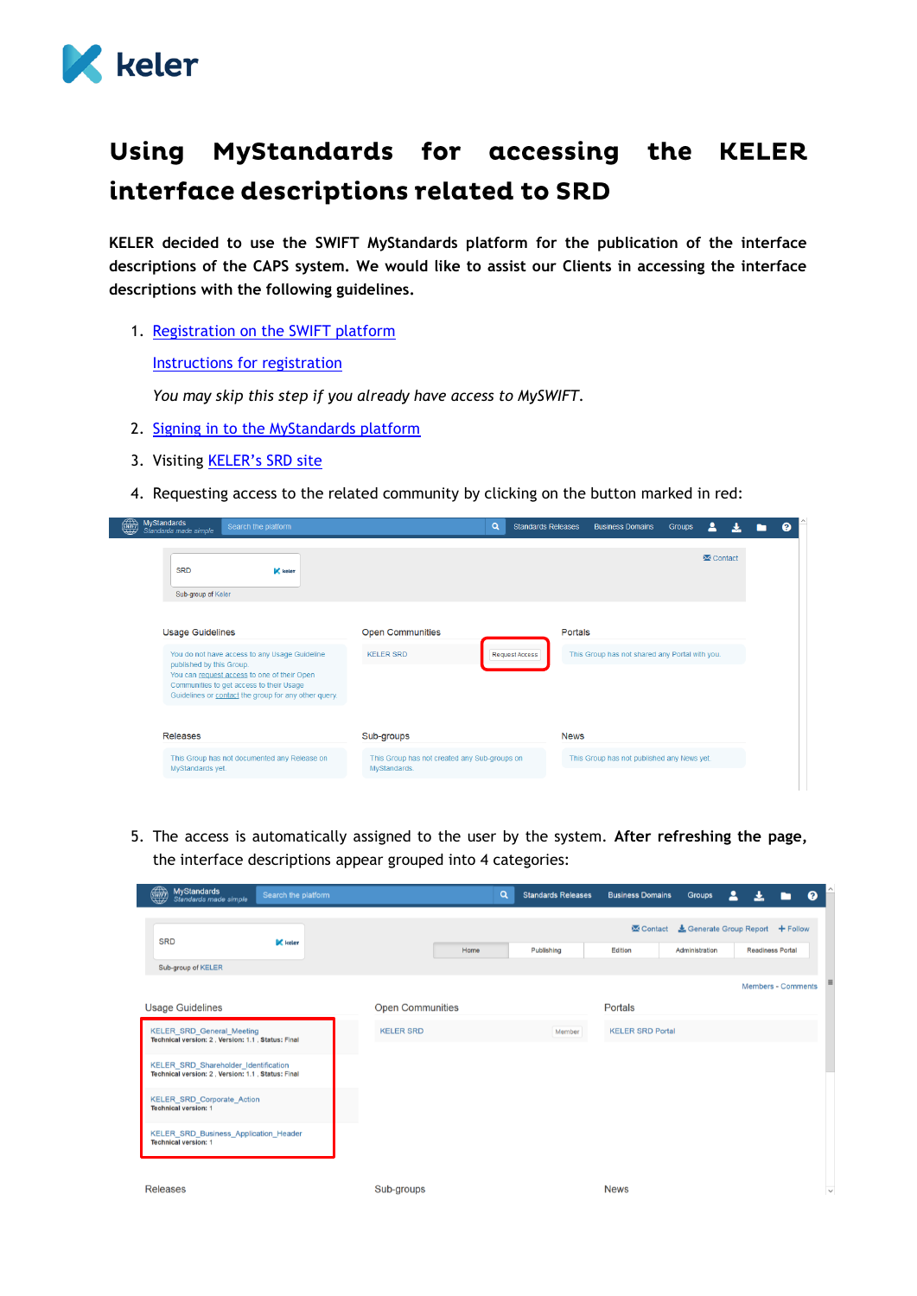

## Using MyStandards for accessing the KELER interface descriptions related to SRD

**KELER decided to use the SWIFT MyStandards platform for the publication of the interface descriptions of the CAPS system. We would like to assist our Clients in accessing the interface descriptions with the following guidelines.**

1. [Registration on the SWIFT platform](https://www2.swift.com/idm/public/selfRegistration.faces)

[Instructions for registration](https://www.swift.com/myswift/how-to-become-a-swift_com-user_)

*You may skip this step if you already have access to MySWIFT.*

- 2. [Signing in to the MyStandards platform](https://www2.swift.com/mystandards/)
- 3. Visiting **[KELER's SRD site](https://www2.swift.com/mystandards/#/group/KELER/SRD)**
- 4. Requesting access to the related community by clicking on the button marked in red:

| $\overline{\mathbf{M}}$ Contact<br><b>SRD</b><br><b>K</b> keler<br>Sub-group of Keler<br><b>Usage Guidelines</b><br><b>Open Communities</b><br>Portals<br>This Group has not shared any Portal with you.<br>You do not have access to any Usage Guideline<br><b>KELER SRD</b><br>Request Access<br>published by this Group.<br>You can request access to one of their Open<br>Communities to get access to their Usage | <b>MyStandards</b><br>Search the platform<br>Standards made simple | $\alpha$ | <b>Standards Releases</b> | <b>Business Domains</b> | <b>Groups</b><br>느 |
|------------------------------------------------------------------------------------------------------------------------------------------------------------------------------------------------------------------------------------------------------------------------------------------------------------------------------------------------------------------------------------------------------------------------|--------------------------------------------------------------------|----------|---------------------------|-------------------------|--------------------|
|                                                                                                                                                                                                                                                                                                                                                                                                                        |                                                                    |          |                           |                         |                    |
|                                                                                                                                                                                                                                                                                                                                                                                                                        | Guidelines or contact the group for any other query.               |          |                           |                         |                    |

5. The access is automatically assigned to the user by the system. **After refreshing the page,** the interface descriptions appear grouped into 4 categories:

| S<br><b>MyStandards</b><br>Standards made simple                                          | Search the platform |                         | Q | <b>Standards Releases</b> | <b>Business Domains</b> | <b>Groups</b>                    | д                       |                           | ℯ            |
|-------------------------------------------------------------------------------------------|---------------------|-------------------------|---|---------------------------|-------------------------|----------------------------------|-------------------------|---------------------------|--------------|
| <b>SRD</b>                                                                                | $K$ keter           |                         |   |                           | <b>X</b> Contact        | & Generate Group Report + Follow |                         |                           |              |
|                                                                                           |                     | Home                    |   | Publishing                | Edition                 | Administration                   | <b>Readiness Portal</b> |                           |              |
| Sub-group of KELER                                                                        |                     |                         |   |                           |                         |                                  |                         |                           |              |
|                                                                                           |                     |                         |   |                           |                         |                                  |                         | <b>Members - Comments</b> |              |
| <b>Usage Guidelines</b>                                                                   |                     | <b>Open Communities</b> |   |                           | Portals                 |                                  |                         |                           |              |
| KELER_SRD_General_Meeting<br>Technical version: 2. Version: 1.1. Status: Final            |                     | <b>KELER SRD</b>        |   | Member                    | <b>KELER SRD Portal</b> |                                  |                         |                           |              |
| KELER_SRD_Shareholder_Identification<br>Technical version: 2, Version: 1.1, Status: Final |                     |                         |   |                           |                         |                                  |                         |                           |              |
| KELER_SRD_Corporate_Action<br><b>Technical version: 1</b>                                 |                     |                         |   |                           |                         |                                  |                         |                           |              |
| KELER_SRD_Business_Application_Header<br><b>Technical version: 1</b>                      |                     |                         |   |                           |                         |                                  |                         |                           |              |
| <b>Releases</b>                                                                           |                     | Sub-groups              |   |                           | <b>News</b>             |                                  |                         |                           | $\checkmark$ |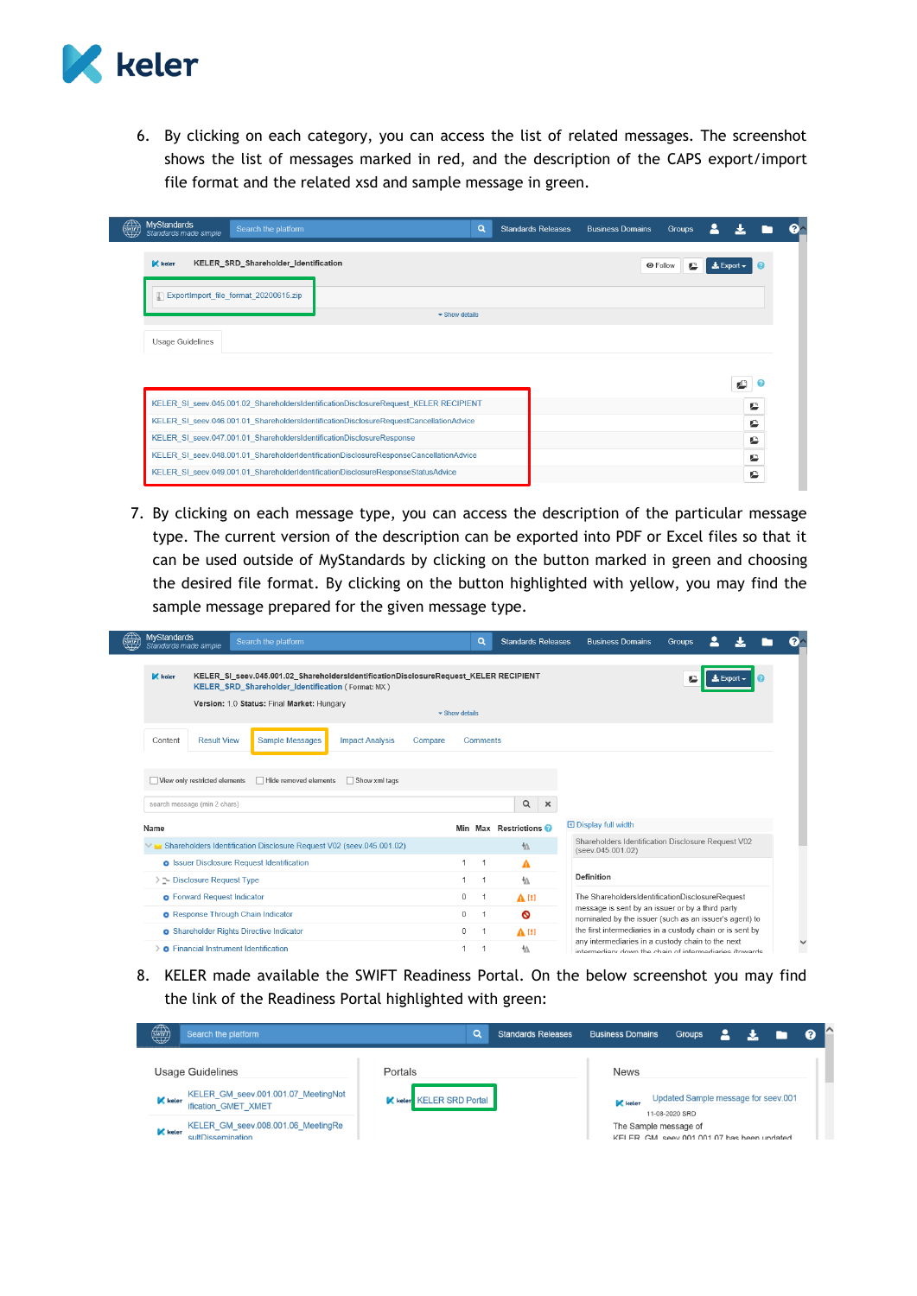

6. By clicking on each category, you can access the list of related messages. The screenshot shows the list of messages marked in red, and the description of the CAPS export/import file format and the related xsd and sample message in green.

| <b>MyStandards</b><br>Standards made simple | Search the platform                                                                    |                                                                                        | Q                                  | <b>Standards Releases</b> | <b>Business Domains</b> | Groups |                              |  |
|---------------------------------------------|----------------------------------------------------------------------------------------|----------------------------------------------------------------------------------------|------------------------------------|---------------------------|-------------------------|--------|------------------------------|--|
| $\mathbb{K}$ keler                          | KELER_SRD_Shareholder_Identification                                                   |                                                                                        |                                    |                           |                         | e      | $\frac{1}{26}$ Export $\sim$ |  |
|                                             | <b>COLORED ExportImport_file_format_20200615.zip</b>                                   |                                                                                        | $\blacktriangleright$ Show details |                           |                         |        |                              |  |
| <b>Usage Guidelines</b>                     |                                                                                        |                                                                                        |                                    |                           |                         |        |                              |  |
|                                             |                                                                                        |                                                                                        |                                    |                           |                         |        |                              |  |
|                                             |                                                                                        |                                                                                        |                                    |                           |                         |        |                              |  |
|                                             |                                                                                        | KELER SI seev.045.001.02 ShareholdersIdentificationDisclosureRequest KELER RECIPIENT   |                                    |                           |                         |        | c                            |  |
|                                             | KELER SI seev.046.001.01 ShareholdersIdentificationDisclosureRequestCancellationAdvice |                                                                                        |                                    |                           | c                       |        |                              |  |
|                                             | KELER SI seev.047.001.01 ShareholdersIdentificationDisclosureResponse                  |                                                                                        |                                    |                           | c                       |        |                              |  |
|                                             |                                                                                        | KELER SI seev.048.001.01 ShareholderIdentificationDisclosureResponseCancellationAdvice |                                    |                           |                         |        | c                            |  |
|                                             |                                                                                        | KELER SI seev.049.001.01 ShareholderIdentificationDisclosureResponseStatusAdvice       |                                    |                           |                         |        | c                            |  |

7. By clicking on each message type, you can access the description of the particular message type. The current version of the description can be exported into PDF or Excel files so that it can be used outside of MyStandards by clicking on the button marked in green and choosing the desired file format. By clicking on the button highlighted with yellow, you may find the sample message prepared for the given message type.

| <b>MyStandards</b><br>$\bigoplus_{\text{SWIFT}}$<br>Search the platform<br>Standards made simple                                                                                                              | Q                                  | <b>Standards Releases</b> | <b>Business Domains</b>                                                                                      | Groups                    |  |
|---------------------------------------------------------------------------------------------------------------------------------------------------------------------------------------------------------------|------------------------------------|---------------------------|--------------------------------------------------------------------------------------------------------------|---------------------------|--|
| KELER_SI_seev.045.001.02_ShareholdersIdentificationDisclosureRequest_KELER RECIPIENT<br>$\mathbb{K}$ keler<br>KELER SRD Shareholder Identification (Format: MX)<br>Version: 1.0 Status: Final Market: Hungary |                                    |                           |                                                                                                              | $\triangle$ Export $\sim$ |  |
|                                                                                                                                                                                                               | $\blacktriangleright$ Show details |                           |                                                                                                              |                           |  |
| Sample Messages<br><b>Result View</b><br>Content<br><b>Impact Analysis</b><br>Compare                                                                                                                         | Comments                           |                           |                                                                                                              |                           |  |
| View only restricted elements<br>□ Hide removed elements<br>$\Box$ Show xml tags                                                                                                                              |                                    |                           |                                                                                                              |                           |  |
| search message (min 2 chars)                                                                                                                                                                                  |                                    | $\alpha$<br>$\times$      |                                                                                                              |                           |  |
| Name                                                                                                                                                                                                          |                                    | Min Max Restrictions      | <b>O</b> Display full width                                                                                  |                           |  |
| Shareholders Identification Disclosure Request V02 (seev.045.001.02)                                                                                                                                          |                                    | $\sqrt{4}$                | Shareholders Identification Disclosure Request V02<br>(seev.045.001.02)                                      |                           |  |
| <b>o</b> Issuer Disclosure Request Identification                                                                                                                                                             |                                    | A                         |                                                                                                              |                           |  |
| > $\geq$ Disclosure Request Type                                                                                                                                                                              |                                    | ₩                         | Definition                                                                                                   |                           |  |
| <b>o</b> Forward Request Indicator                                                                                                                                                                            | $\mathbf 0$                        | $\Lambda$ [!]             | The ShareholdersIdentificationDisclosureRequest                                                              |                           |  |
| <b>O</b> Response Through Chain Indicator                                                                                                                                                                     | $\Omega$                           | ◎                         | message is sent by an issuer or by a third party<br>nominated by the issuer (such as an issuer's agent) to   |                           |  |
| <b>o</b> Shareholder Rights Directive Indicator                                                                                                                                                               | 0                                  | $\mathbf{A}^{(1)}$        | the first intermediaries in a custody chain or is sent by                                                    |                           |  |
| <b>O</b> Financial Instrument Identification                                                                                                                                                                  |                                    | ₩                         | any intermediaries in a custody chain to the next<br>intermediary down the chain of intermediaries (towards) |                           |  |

8. KELER made available the SWIFT Readiness Portal. On the below screenshot you may find the link of the Readiness Portal highlighted with green:

| ₩                                | Search the platform                                                                                                                       | Q<br><b>Standards Releases</b>                    | <b>Business Domains</b>       | <b>Groups</b>                                                                                                               |  | $\bullet$ |  |
|----------------------------------|-------------------------------------------------------------------------------------------------------------------------------------------|---------------------------------------------------|-------------------------------|-----------------------------------------------------------------------------------------------------------------------------|--|-----------|--|
| <b>K</b> keler<br><b>K</b> keler | Usage Guidelines<br>KELER_GM_seev.001.001.07_MeetingNot<br>ification_GMET_XMET<br>KELER_GM_seev.008.001.06_MeetingRe<br>sultDissemination | Portals<br><b>K</b> keler <b>KELER SRD</b> Portal | <b>News</b><br><b>K</b> keler | Updated Sample message for seev.001<br>11-08-2020 SRD<br>The Sample message of<br>KELER GM seev 001 001 07 has been undated |  |           |  |